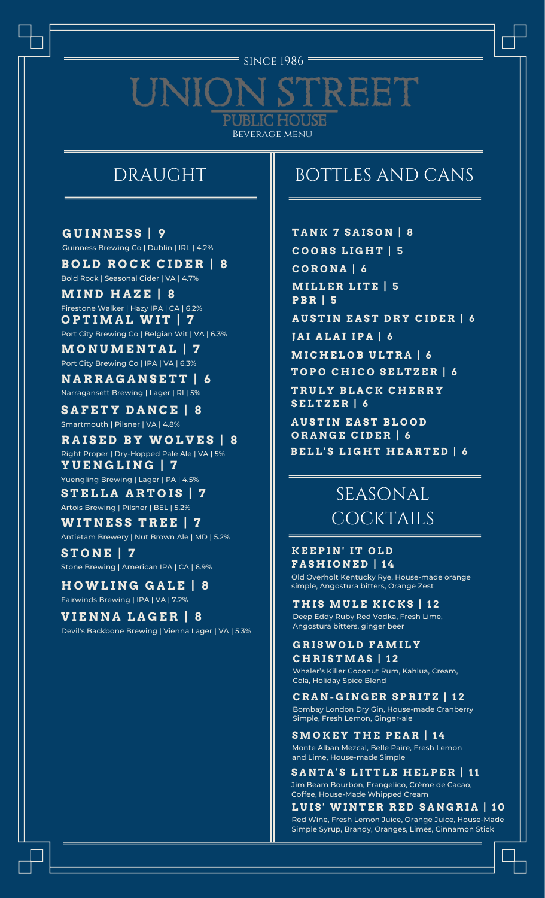#### since 1986 =

#### REET UNIC **UBLIC HOUSE** Beverage menu

# DRAUGHT

**G U I N N E S S | 9** Guinness Brewing Co | Dublin | IRL | 4.2%

**B O L D R O C K C I D E R | 8** Bold Rock | Seasonal Cider | VA | 4.7%

**MI N D H A Z E | 8** Firestone Walker | Hazy IPA | CA | 6.2% **O P T IMA L WI T | 7** Port City Brewing Co | Belgian Wit | VA | 6.3%

**MO N UME N T A L | 7** Port City Brewing Co | IPA | VA | 6.3%

**N A R R A G A N S E T T | 6** Narragansett Brewing | Lager | RI | 5%

**S A F E T Y D A N C E | 8** Smartmouth | Pilsner | VA | 4.8%

**R A I S E D B Y WO L V E S | 8** Right Proper | Dry-Hopped Pale Ale | VA | 5% **Y U E N G L I N G | 7** Yuengling Brewing | Lager | PA | 4.5%

**S T E L L A A R T O I S | 7** Artois Brewing | Pilsner | BEL | 5.2%

**WI T N E S S T R E E | 7** Antietam Brewery | Nut Brown Ale | MD | 5.2%

**S T O N E | 7** Stone Brewing | American IPA | CA | 6.9%

**H OWL I N G G A L E | 8** Fairwinds Brewing | IPA | VA | 7.2%

#### **V I E N N A L A G E R | 8**

Devil's Backbone Brewing | Vienna Lager | VA | 5.3%

# BOTTLES AND CANS

**T A N K 7 S A I S O N | 8 C O O R S L I G H T | 5 C O R O N A | 6 MI L L E R L I T E | 5 P B R | 5 A U S T I N E A S T D R Y C I D E R | 6 J A I A L A I I P A | 6 MI C H E L O B U L T R A | 6 T O P O C H I C O S E L T Z E R | 6 T R U L Y B L A C K C H E R R Y S E L T Z E R | 6 A U S T I N E A S T B L O O D**

**O R A N G E C I D E R | 6 B E L L ' S L I G H T H E A R T E D | 6**

# SEASONAL COCKTAILS

#### **K E E P I N ' I T O L D F A S H I O N E D | 1 4**

Old Overholt Kentucky Rye, House-made orange simple, Angostura bitters, Orange Zest

**T H I S MU L E K I C K S | 1 2** Deep Eddy Ruby Red Vodka, Fresh Lime, Angostura bitters, ginger beer

#### **G R I SWO L D F AMI L Y C H R I S TMA S | 1 2**

Whaler's Killer Coconut Rum, Kahlua, Cream, Cola, Holiday Spice Blend

**C R A N - G I N G E R S P R I T Z | 1 2** Bombay London Dry Gin, House-made Cranberry Simple, Fresh Lemon, Ginger-ale

**S MO K E Y T H E P E A R | 1 4** Monte Alban Mezcal, Belle Paire, Fresh Lemon and Lime, House-made Simple

**S A N T A ' S L I T T L E H E L P E R | 11** Jim Beam Bourbon, Frangelico, Crème de Cacao, Coffee, House-Made Whipped Cream

**L U I S ' WI N T E R R E D S A N G R I A | 1 0** Red Wine, Fresh Lemon Juice, Orange Juice, House-Made Simple Syrup, Brandy, Oranges, Limes, Cinnamon Stick